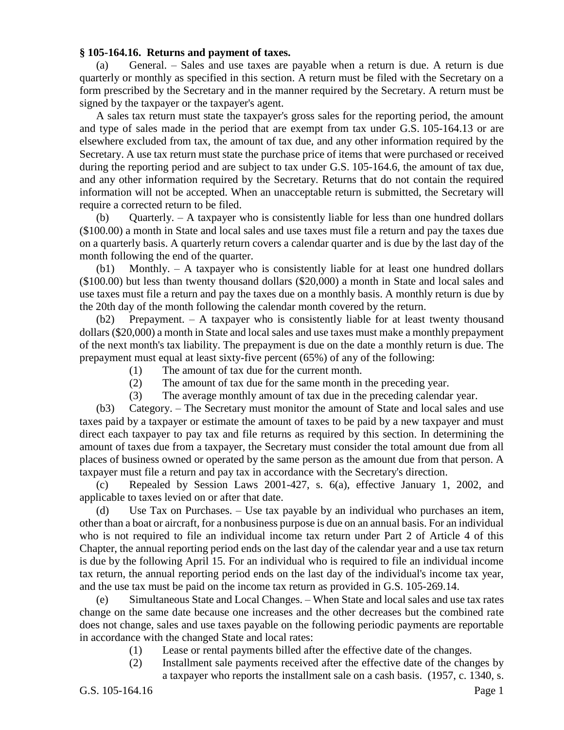## **§ 105-164.16. Returns and payment of taxes.**

(a) General. – Sales and use taxes are payable when a return is due. A return is due quarterly or monthly as specified in this section. A return must be filed with the Secretary on a form prescribed by the Secretary and in the manner required by the Secretary. A return must be signed by the taxpayer or the taxpayer's agent.

A sales tax return must state the taxpayer's gross sales for the reporting period, the amount and type of sales made in the period that are exempt from tax under G.S. 105-164.13 or are elsewhere excluded from tax, the amount of tax due, and any other information required by the Secretary. A use tax return must state the purchase price of items that were purchased or received during the reporting period and are subject to tax under G.S. 105-164.6, the amount of tax due, and any other information required by the Secretary. Returns that do not contain the required information will not be accepted. When an unacceptable return is submitted, the Secretary will require a corrected return to be filed.

(b) Quarterly. – A taxpayer who is consistently liable for less than one hundred dollars (\$100.00) a month in State and local sales and use taxes must file a return and pay the taxes due on a quarterly basis. A quarterly return covers a calendar quarter and is due by the last day of the month following the end of the quarter.

(b1) Monthly. – A taxpayer who is consistently liable for at least one hundred dollars (\$100.00) but less than twenty thousand dollars (\$20,000) a month in State and local sales and use taxes must file a return and pay the taxes due on a monthly basis. A monthly return is due by the 20th day of the month following the calendar month covered by the return.

(b2) Prepayment. – A taxpayer who is consistently liable for at least twenty thousand dollars (\$20,000) a month in State and local sales and use taxes must make a monthly prepayment of the next month's tax liability. The prepayment is due on the date a monthly return is due. The prepayment must equal at least sixty-five percent (65%) of any of the following:

- (1) The amount of tax due for the current month.
- (2) The amount of tax due for the same month in the preceding year.
- (3) The average monthly amount of tax due in the preceding calendar year.

(b3) Category. – The Secretary must monitor the amount of State and local sales and use taxes paid by a taxpayer or estimate the amount of taxes to be paid by a new taxpayer and must direct each taxpayer to pay tax and file returns as required by this section. In determining the amount of taxes due from a taxpayer, the Secretary must consider the total amount due from all places of business owned or operated by the same person as the amount due from that person. A taxpayer must file a return and pay tax in accordance with the Secretary's direction.

(c) Repealed by Session Laws 2001-427, s. 6(a), effective January 1, 2002, and applicable to taxes levied on or after that date.

(d) Use Tax on Purchases. – Use tax payable by an individual who purchases an item, other than a boat or aircraft, for a nonbusiness purpose is due on an annual basis. For an individual who is not required to file an individual income tax return under Part 2 of Article 4 of this Chapter, the annual reporting period ends on the last day of the calendar year and a use tax return is due by the following April 15. For an individual who is required to file an individual income tax return, the annual reporting period ends on the last day of the individual's income tax year, and the use tax must be paid on the income tax return as provided in G.S. 105-269.14.

(e) Simultaneous State and Local Changes. – When State and local sales and use tax rates change on the same date because one increases and the other decreases but the combined rate does not change, sales and use taxes payable on the following periodic payments are reportable in accordance with the changed State and local rates:

- (1) Lease or rental payments billed after the effective date of the changes.
- (2) Installment sale payments received after the effective date of the changes by a taxpayer who reports the installment sale on a cash basis. (1957, c. 1340, s.

G.S. 105-164.16 Page 1